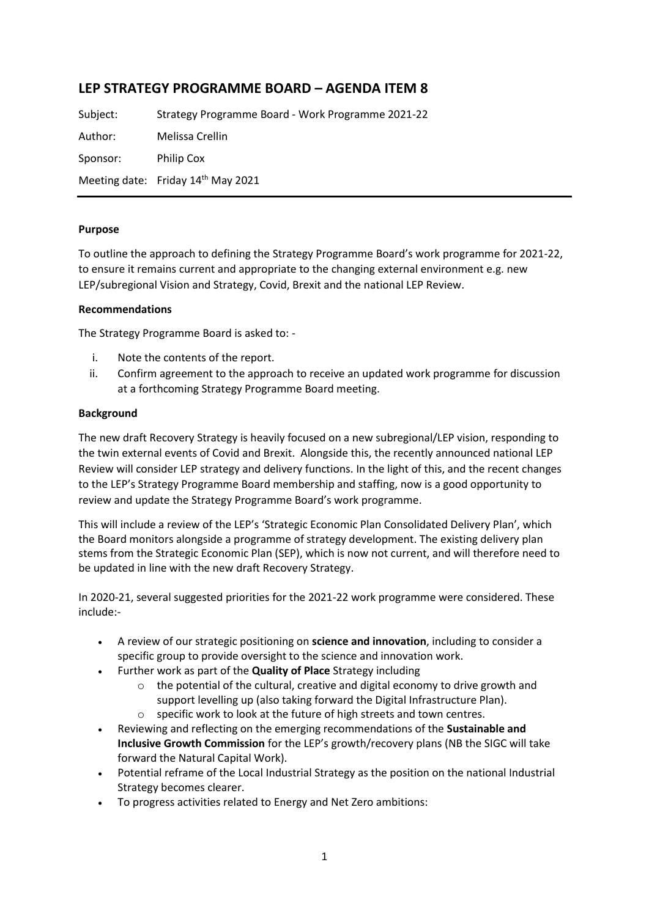# **LEP STRATEGY PROGRAMME BOARD – AGENDA ITEM 8**

Subject: Strategy Programme Board - Work Programme 2021-22 Author: Melissa Crellin Sponsor: Philip Cox Meeting date: Friday 14<sup>th</sup> May 2021

## **Purpose**

To outline the approach to defining the Strategy Programme Board's work programme for 2021-22, to ensure it remains current and appropriate to the changing external environment e.g. new LEP/subregional Vision and Strategy, Covid, Brexit and the national LEP Review.

#### **Recommendations**

The Strategy Programme Board is asked to: -

- i. Note the contents of the report.
- ii. Confirm agreement to the approach to receive an updated work programme for discussion at a forthcoming Strategy Programme Board meeting.

## **Background**

The new draft Recovery Strategy is heavily focused on a new subregional/LEP vision, responding to the twin external events of Covid and Brexit. Alongside this, the recently announced national LEP Review will consider LEP strategy and delivery functions. In the light of this, and the recent changes to the LEP's Strategy Programme Board membership and staffing, now is a good opportunity to review and update the Strategy Programme Board's work programme.

This will include a review of the LEP's 'Strategic Economic Plan Consolidated Delivery Plan', which the Board monitors alongside a programme of strategy development. The existing delivery plan stems from the Strategic Economic Plan (SEP), which is now not current, and will therefore need to be updated in line with the new draft Recovery Strategy.

In 2020-21, several suggested priorities for the 2021-22 work programme were considered. These include:-

- A review of our strategic positioning on **science and innovation**, including to consider a specific group to provide oversight to the science and innovation work.
- Further work as part of the **Quality of Place** Strategy including
	- o the potential of the cultural, creative and digital economy to drive growth and support levelling up (also taking forward the Digital Infrastructure Plan).
	- o specific work to look at the future of high streets and town centres.
- Reviewing and reflecting on the emerging recommendations of the **Sustainable and Inclusive Growth Commission** for the LEP's growth/recovery plans (NB the SIGC will take forward the Natural Capital Work).
- Potential reframe of the Local Industrial Strategy as the position on the national Industrial Strategy becomes clearer.
- To progress activities related to Energy and Net Zero ambitions: